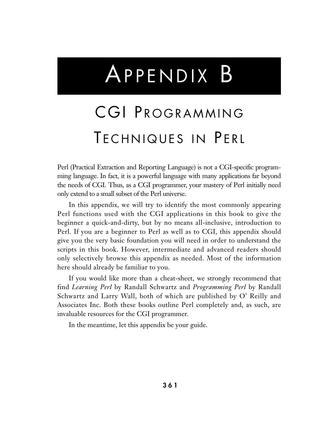# APPENDIX B

# CGI PROGRAMMING TECHNIQUES IN PERL

Perl (Practical Extraction and Reporting Language) is not a CGI-specific programming language. In fact, it is a powerful language with many applications far beyond the needs of CGI. Thus, as a CGI programmer, your mastery of Perl initially need only extend to a small subset of the Perl universe.

In this appendix, we will try to identify the most commonly appearing Perl functions used with the CGI applications in this book to give the beginner a quick-and-dirty, but by no means all-inclusive, introduction to Perl. If you are a beginner to Perl as well as to CGI, this appendix should give you the very basic foundation you will need in order to understand the scripts in this book. However, intermediate and advanced readers should only selectively browse this appendix as needed. Most of the information here should already be familiar to you.

If you would like more than a cheat-sheet, we strongly recommend that find *Learning Perl* by Randall Schwartz and *Programming Perl* by Randall Schwartz and Larry Wall, both of which are published by O' Reilly and Associates Inc. Both these books outline Perl completely and, as such, are invaluable resources for the CGI programmer.

In the meantime, let this appendix be your guide.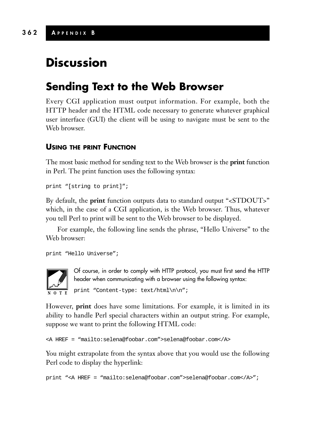# **Discussion**

# **Sending Text to the Web Browser**

Every CGI application must output information. For example, both the HTTP header and the HTML code necessary to generate whatever graphical user interface (GUI) the client will be using to navigate must be sent to the Web browser.

# **USING THE PRINT FUNCTION**

The most basic method for sending text to the Web browser is the **print** function in Perl. The print function uses the following syntax:

print "[string to print]";

By default, the **print** function outputs data to standard output "<STDOUT>" which, in the case of a CGI application, is the Web browser. Thus, whatever you tell Perl to print will be sent to the Web browser to be displayed.

For example, the following line sends the phrase, "Hello Universe" to the Web browser:

print "Hello Universe";



Of course, in order to comply with HTTP protocol, you must first send the HTTP header when communicating with a browser using the following syntax:

print "Content-type: text/html\n\n";

However, **print** does have some limitations. For example, it is limited in its ability to handle Perl special characters within an output string. For example, suppose we want to print the following HTML code:

```
<A HREF = "mailto:selena@foobar.com">selena@foobar.com</A>
```
You might extrapolate from the syntax above that you would use the following Perl code to display the hyperlink:

print "<A HREF = "mailto:selena@foobar.com">selena@foobar.com</A>";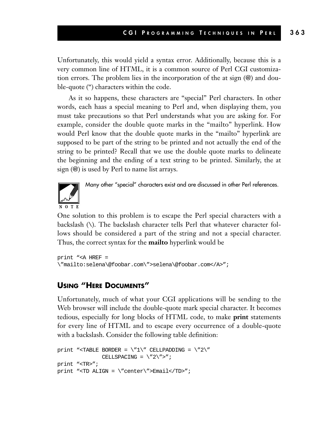Unfortunately, this would yield a syntax error. Additionally, because this is a very common line of HTML, it is a common source of Perl CGI customization errors. The problem lies in the incorporation of the at sign (@) and double-quote (") characters within the code.

As it so happens, these characters are "special" Perl characters. In other words, each haas a special meaning to Perl and, when displaying them, you must take precautions so that Perl understands what you are asking for. For example, consider the double quote marks in the "mailto" hyperlink. How would Perl know that the double quote marks in the "mailto" hyperlink are supposed to be part of the string to be printed and not actually the end of the string to be printed? Recall that we use the double quote marks to delineate the beginning and the ending of a text string to be printed. Similarly, the at sign (@) is used by Perl to name list arrays.



Many other "special" characters exist and are discussed in other Perl references.

One solution to this problem is to escape the Perl special characters with a backslash (\). The backslash character tells Perl that whatever character follows should be considered a part of the string and not a special character. Thus, the correct syntax for the **mailto** hyperlink would be

```
print "<A HREF =
\"mailto:selena\@foobar.com\">selena\@foobar.com</A>";
```
# **USING "HERE DOCUMENTS"**

Unfortunately, much of what your CGI applications will be sending to the Web browser will include the double-quote mark special character. It becomes tedious, especially for long blocks of HTML code, to make **print** statements for every line of HTML and to escape every occurrence of a double-quote with a backslash. Consider the following table definition:

```
print "<TABLE BORDER = \Upsilon"1\" CELLPADDING = \Upsilon"2\"
                CELLSPACING = \sqrt{2}\">";
print "<TR>";
print "<TD ALIGN = \"center\">Email</TD>";
```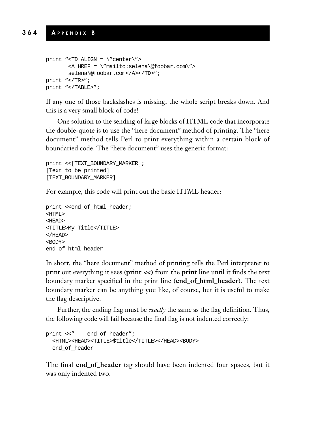```
print "<TD ALIGN = \sqrt{\text{center}}">
       <A HREF = \"mailto:selena\@foobar.com\">
       selena\@foobar.com</A></TD>";
print "</TR>";
print "</TABLE>";
```
If any one of those backslashes is missing, the whole script breaks down. And this is a very small block of code!

One solution to the sending of large blocks of HTML code that incorporate the double-quote is to use the "here document" method of printing. The "here document" method tells Perl to print everything within a certain block of boundaried code. The "here document" uses the generic format:

```
print <<[TEXT_BOUNDARY_MARKER];
[Text to be printed]
[TEXT_BOUNDARY_MARKER]
```
For example, this code will print out the basic HTML header:

```
print <<end_of_html_header;
<HTML>
<HEAD>
<TITLE>My Title</TITLE>
</HEAD>
<BODY>
end_of_html_header
```
In short, the "here document" method of printing tells the Perl interpreter to print out everything it sees (**print <<)** from the **print** line until it finds the text boundary marker specified in the print line (**end\_of\_html\_header**). The text boundary marker can be anything you like, of course, but it is useful to make the flag descriptive.

Further, the ending flag must be *exactly* the same as the flag definition. Thus, the following code will fail because the final flag is not indented correctly:

```
print <<" end of header";
  <HTML><HEAD><TITLE>$title</TITLE></HEAD><BODY>
 end_of_header
```
The final **end\_of\_header** tag should have been indented four spaces, but it was only indented two.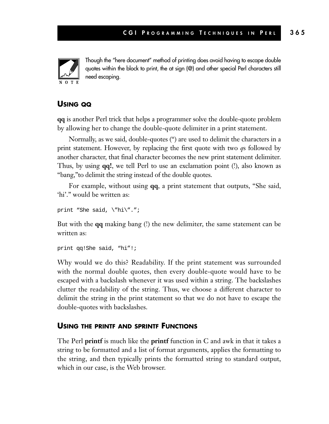

Though the "here document" method of printing does avoid having to escape double quotes within the block to print, the at sign (@) and other special Perl characters still need escaping.

## **USING QQ**

**qq** is another Perl trick that helps a programmer solve the double-quote problem by allowing her to change the double-quote delimiter in a print statement.

Normally, as we said, double-quotes (") are used to delimit the characters in a print statement. However, by replacing the first quote with two *q*s followed by another character, that final character becomes the new print statement delimiter. Thus, by using **qq!**, we tell Perl to use an exclamation point (!), also known as "bang,"to delimit the string instead of the double quotes.

For example, without using **qq**, a print statement that outputs, "She said, 'hi'." would be written as:

```
print "She said, \"hi\".";
```
But with the **qq** making bang (!) the new delimiter, the same statement can be written as:

```
print qq!She said, "hi"!;
```
Why would we do this? Readability. If the print statement was surrounded with the normal double quotes, then every double-quote would have to be escaped with a backslash whenever it was used within a string. The backslashes clutter the readability of the string. Thus, we choose a different character to delimit the string in the print statement so that we do not have to escape the double-quotes with backslashes.

#### **USING THE PRINTF AND SPRINTF FUNCTIONS**

The Perl **printf** is much like the **printf** function in C and awk in that it takes a string to be formatted and a list of format arguments, applies the formatting to the string, and then typically prints the formatted string to standard output, which in our case, is the Web browser.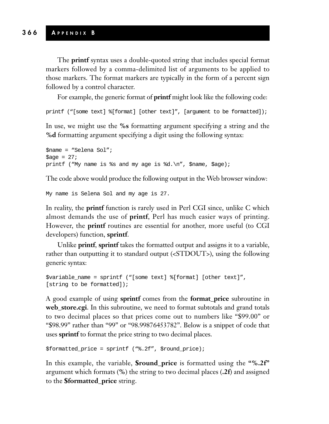The **printf** syntax uses a double-quoted string that includes special format markers followed by a comma-delimited list of arguments to be applied to those markers. The format markers are typically in the form of a percent sign followed by a control character.

For example, the generic format of **printf** might look like the following code:

printf ("[some text] %[format] [other text]", [argument to be formatted]);

In use, we might use the **%s** formatting argument specifying a string and the **%d** formatting argument specifying a digit using the following syntax:

```
$name = "Selena Sol";
\text{Page} = 27;
printf ("My name is %s and my age is %d.\n", $name, $age);
```
The code above would produce the following output in the Web browser window:

My name is Selena Sol and my age is 27.

In reality, the **printf** function is rarely used in Perl CGI since, unlike C which almost demands the use of **printf**, Perl has much easier ways of printing. However, the **printf** routines are essential for another, more useful (to CGI developers) function, **sprintf**.

Unlike **printf**, **sprintf** takes the formatted output and assigns it to a variable, rather than outputting it to standard output (<STDOUT>), using the following generic syntax:

```
$variable_name = sprintf ("[some text] %[format] [other text]",
[string to be formatted]);
```
A good example of using **sprintf** comes from the **format\_price** subroutine in **web\_store.cgi**. In this subroutine, we need to format subtotals and grand totals to two decimal places so that prices come out to numbers like "\$99.00" or "\$98.99" rather than "99" or "98.99876453782". Below is a snippet of code that uses **sprintf** to format the price string to two decimal places.

```
$formatted price = sprintf ("\S.2f", $round price);
```
In this example, the variable, **\$round\_price** is formatted using the **"%.2f"** argument which formats (**%**) the string to two decimal places (**.2f**) and assigned to the **\$formatted\_price** string.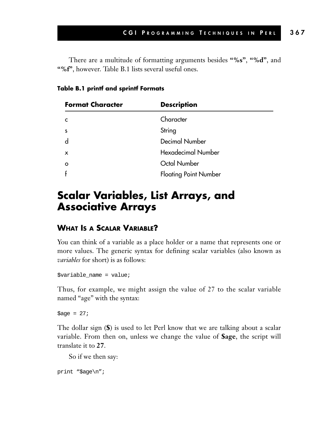There are a multitude of formatting arguments besides **"%s"**, **"%d"**, and **"%f"**, however. Table B.1 lists several useful ones.

**Table B.1 printf and sprintf Formats**

| <b>Format Character</b> | <b>Description</b>           |  |
|-------------------------|------------------------------|--|
| C                       | Character                    |  |
| S                       | String                       |  |
| d                       | <b>Decimal Number</b>        |  |
| x                       | <b>Hexadecimal Number</b>    |  |
| $\circ$                 | Octal Number                 |  |
|                         | <b>Floating Point Number</b> |  |

# **Scalar Variables, List Arrays, and Associative Arrays**

## **WHAT IS A SCALAR VARIABLE?**

You can think of a variable as a place holder or a name that represents one or more values. The generic syntax for defining scalar variables (also known as *variables* for short) is as follows:

 $$variable_name = value;$ 

Thus, for example, we might assign the value of 27 to the scalar variable named "age" with the syntax:

 $\text{base} = 27;$ 

The dollar sign (**\$**) is used to let Perl know that we are talking about a scalar variable. From then on, unless we change the value of **\$age**, the script will translate it to **27**.

So if we then say:

```
print "$age\n";
```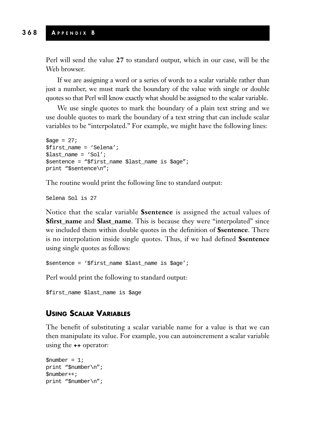Perl will send the value **27** to standard output, which in our case, will be the Web browser.

If we are assigning a word or a series of words to a scalar variable rather than just a number, we must mark the boundary of the value with single or double quotes so that Perl will know exactly what should be assigned to the scalar variable.

We use single quotes to mark the boundary of a plain text string and we use double quotes to mark the boundary of a text string that can include scalar variables to be "interpolated." For example, we might have the following lines:

```
\text{base} = 27;
$first_name = 'Selena';
$last_name = 'Sol';
$sentence = "$first_name $last_name is $age";
print "$sentence\n";
```
The routine would print the following line to standard output:

Selena Sol is 27

Notice that the scalar variable **\$sentence** is assigned the actual values of **\$first\_name** and **\$last\_name**. This is because they were "interpolated" since we included them within double quotes in the definition of **\$sentence**. There is no interpolation inside single quotes. Thus, if we had defined **\$sentence** using single quotes as follows:

```
$sentence = '$first_name $last_name is $age';
```
Perl would print the following to standard output:

\$first\_name \$last\_name is \$age

#### **USING SCALAR VARIABLES**

The benefit of substituting a scalar variable name for a value is that we can then manipulate its value. For example, you can autoincrement a scalar variable using the **++** operator:

```
$number = 1;print "$number\n";
$number++;
print "$number\n";
```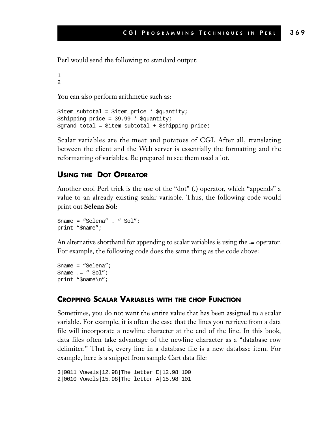Perl would send the following to standard output:

```
1
2
```
You can also perform arithmetic such as:

```
$item_subtotal = $item_price * $quantity;
$shipping_price = 39.99 * $quantity;
$grand_total = $item_subtotal + $shipping_price;
```
Scalar variables are the meat and potatoes of CGI. After all, translating between the client and the Web server is essentially the formatting and the reformatting of variables. Be prepared to see them used a lot.

#### **USING THE DOT OPERATOR**

Another cool Perl trick is the use of the "dot" (**.**) operator, which "appends" a value to an already existing scalar variable. Thus, the following code would print out **Selena Sol**:

```
$name = "Selena" . " Sol";
print "$name";
```
An alternative shorthand for appending to scalar variables is using the **.=** operator. For example, the following code does the same thing as the code above:

```
$name = "Selena";
Sname = " Sol";print "$name\n";
```
#### **CROPPING SCALAR VARIABLES WITH THE CHOP FUNCTION**

Sometimes, you do not want the entire value that has been assigned to a scalar variable. For example, it is often the case that the lines you retrieve from a data file will incorporate a newline character at the end of the line. In this book, data files often take advantage of the newline character as a "database row delimiter." That is, every line in a database file is a new database item. For example, here is a snippet from sample Cart data file:

```
3|0011|Vowels|12.98|The letter E|12.98|100
2|0010|Vowels|15.98|The letter A|15.98|101
```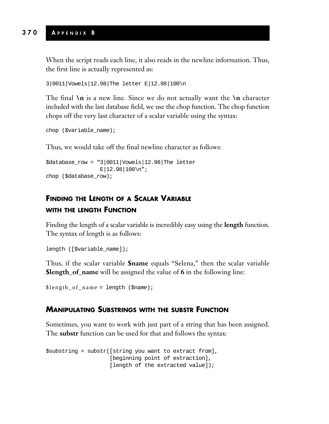When the script reads each line, it also reads in the newline information. Thus, the first line is actually represented as:

```
3|0011|Vowels|12.98|The letter E|12.98|100\n
```
The final **\n** is a new line. Since we do not actually want the **\n** character included with the last database field, we use the chop function. The chop function chops off the very last character of a scalar variable using the syntax:

```
chop ($variable_name);
```
Thus, we would take off the final newline character as follows:

```
\frac{1}{2}database_row = "3|0011|Vowels|12.98|The letter
                   E|12.98|100\n";
chop ($database_row);
```
# **FINDING THE LENGTH OF A SCALAR VARIABLE WITH THE LENGTH FUNCTION**

Finding the length of a scalar variable is incredibly easy using the **length** function. The syntax of length is as follows:

```
length ([$variable_name]);
```
Thus, if the scalar variable **\$name** equals "Selena," then the scalar variable **\$length\_of\_name** will be assigned the value of **6** in the following line:

\$length\_of\_name = length (\$name);

# **MANIPULATING SUBSTRINGS WITH THE SUBSTR FUNCTION**

Sometimes, you want to work with just part of a string that has been assigned. The **substr** function can be used for that and follows the syntax:

\$substring = substr([string you want to extract from], [beginning point of extraction], [length of the extracted value]);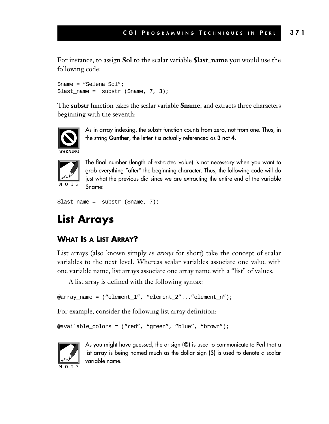For instance, to assign **Sol** to the scalar variable **\$last\_name** you would use the following code:

```
$name = "Selena Sol";
$last_name = substr ($name, 7, 3);
```
The **substr** function takes the scalar variable **\$name**, and extracts three characters beginning with the seventh:



As in array indexing, the substr function counts from zero, not from one. Thus, in the string **Gunther**, the letter *t* is actually referenced as **3** not **4**.



The final number (length of extracted value) is not necessary when you want to grab everything "after" the beginning character. Thus, the following code will do just what the previous did since we are extracting the entire end of the variable \$name:

```
$last_name = substr ($name, 7);
```
# **List Arrays**

# **WHAT IS A LIST ARRAY?**

List arrays (also known simply as *arrays* for short) take the concept of scalar variables to the next level. Whereas scalar variables associate one value with one variable name, list arrays associate one array name with a "list" of values.

A list array is defined with the following syntax:

```
@array_name = ("element_1", "element_2"..."element_n");
```
For example, consider the following list array definition:

```
@available_colors = ("red", "green", "blue", "brown");
```


As you might have guessed, the at sign (@) is used to communicate to Perl that a list array is being named much as the dollar sign (\$) is used to denote a scalar variable name.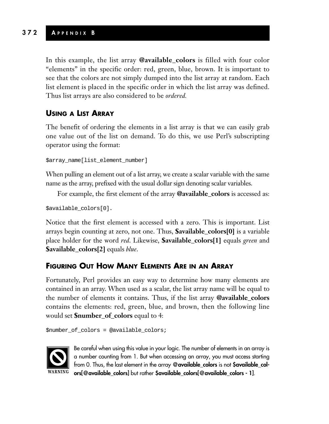# **372 A PPENDIX B**

In this example, the list array **@available\_colors** is filled with four color "elements" in the specific order: red, green, blue, brown. It is important to see that the colors are not simply dumped into the list array at random. Each list element is placed in the specific order in which the list array was defined. Thus list arrays are also considered to be *ordered.*

# **USING A LIST ARRAY**

The benefit of ordering the elements in a list array is that we can easily grab one value out of the list on demand. To do this, we use Perl's subscripting operator using the format:

\$array\_name[list\_element\_number]

When pulling an element out of a list array, we create a scalar variable with the same name as the array, prefixed with the usual dollar sign denoting scalar variables.

For example, the first element of the array **@available\_colors** is accessed as:

\$available\_colors[0].

Notice that the first element is accessed with a zero. This is important. List arrays begin counting at zero, not one. Thus, **\$available\_colors[0]** is a variable place holder for the word *red*. Likewise, **\$available\_colors[1]** equals *green* and **\$available\_colors[2]** equals *blue*.

## **FIGURING OUT HOW MANY ELEMENTS ARE IN AN ARRAY**

Fortunately, Perl provides an easy way to determine how many elements are contained in an array. When used as a scalar, the list array name will be equal to the number of elements it contains. Thus, if the list array **@available\_colors** contains the elements: red, green, blue, and brown, then the following line would set **\$number\_of\_colors** equal to 4:

```
$number_of_colors = @available_colors;
```


Be careful when using this value in your logic. The number of elements in an array is a number counting from 1. But when accessing an array, you must access starting from 0. Thus, the last element in the array **@available\_colors** is not **\$available\_colors[@available\_colors]** but rather **\$available\_colors[@available\_colors - 1]**.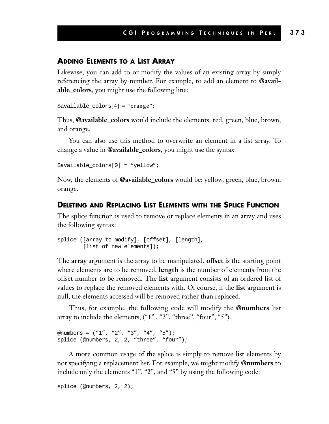#### **ADDING ELEMENTS TO A LIST ARRAY**

Likewise, you can add to or modify the values of an existing array by simply referencing the array by number. For example, to add an element to **@available\_colors**, you might use the following line:

```
$available_colors[4] = "orange";
```
Thus, **@available\_colors** would include the elements: red, green, blue, brown, and orange.

You can also use this method to overwrite an element in a list array. To change a value in **@available\_colors**, you might use the syntax:

```
$available_colors[0] = "yellow";
```
Now, the elements of **@available\_colors** would be: yellow, green, blue, brown, orange.

#### **DELETING AND REPLACING LIST ELEMENTS WITH THE SPLICE FUNCTION**

The splice function is used to remove or replace elements in an array and uses the following syntax:

```
splice ([array to modify], [offset], [length],
        [list of new elements]);
```
The **array** argument is the array to be manipulated. **offset** is the starting point where elements are to be removed. **length** is the number of elements from the offset number to be removed. The **list** argument consists of an ordered list of values to replace the removed elements with. Of course, if the **list** argument is null, the elements accessed will be removed rather than replaced.

Thus, for example, the following code will modify the **@numbers** list array to include the elements, ("1" , "2", "three", "four", "5").

```
@numbers = ("1", "2", "3", "4", "5");
splice (@numbers, 2, 2, "three", "four");
```
A more common usage of the splice is simply to remove list elements by not specifying a replacement list. For example, we might modify **@numbers** to include only the elements "1", "2", and "5" by using the following code:

splice (@numbers, 2, 2);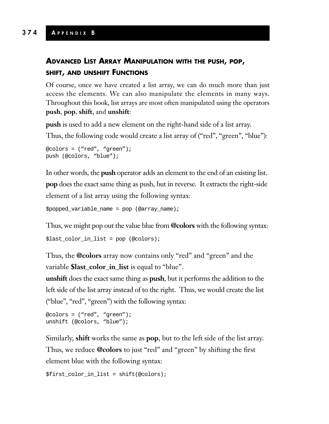# **374 A PPENDIX B**

# **ADVANCED LIST ARRAY MANIPULATION WITH THE PUSH, POP, SHIFT, AND UNSHIFT FUNCTIONS**

Of course, once we have created a list array, we can do much more than just access the elements. We can also manipulate the elements in many ways. Throughout this book, list arrays are most often manipulated using the operators **push**, **pop**, **shift**, and **unshift**:

**push** is used to add a new element on the right-hand side of a list array.

Thus, the following code would create a list array of ("red", "green", "blue"):

```
@colors = ("red", "green");
push (@colors, "blue");
```
In other words, the **push** operator adds an element to the end of an existing list. **pop** does the exact same thing as push, but in reverse. It extracts the right-side element of a list array using the following syntax:

 $$popped variable name = pop (@array name);$ 

Thus, we might pop out the value blue from **@colors** with the following syntax:

\$last\_color\_in\_list = pop (@colors);

Thus, the **@colors** array now contains only "red" and "green" and the variable **\$last\_color\_in\_list** is equal to "blue".

**unshift** does the exact same thing as **push**, but it performs the addition to the left side of the list array instead of to the right. Thus, we would create the list ("blue", "red", "green") with the following syntax:

```
@colors = ("red", "green");
unshift (@colors, "blue");
```
Similarly, **shift** works the same as **pop**, but to the left side of the list array. Thus, we reduce **@colors** to just "red" and "green" by shifting the first element blue with the following syntax:

\$first\_color\_in\_list = shift(@colors);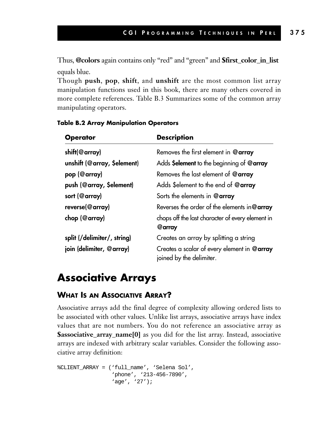Thus, **@colors** again contains only "red" and "green" and **\$first\_color\_in\_list** equals blue.

Though **push**, **pop**, **shift**, and **unshift** are the most common list array manipulation functions used in this book, there are many others covered in more complete references. Table B.3 Summarizes some of the common array manipulating operators.

| <b>Operator</b>             | <b>Description</b>                                                      |
|-----------------------------|-------------------------------------------------------------------------|
| shift(@array)               | Removes the first element in @array                                     |
| unshift (@array, \$element) | Adds Selement to the beginning of $@$ array                             |
| pop (@array)                | Removes the last element of @array                                      |
| push (@array, \$element)    | Adds \$element to the end of @array                                     |
| sort (@array)               | Sorts the elements in @array                                            |
| reverse(@array)             | Reverses the order of the elements in @ $array$                         |
| chop (@array)               | chops off the last character of every element in<br>@array              |
| split (/delimiter/, string) | Creates an array by splitting a string                                  |
| join (delimiter, @array)    | Creates a scalar of every element in @array<br>joined by the delimiter. |

#### **Table B.2 Array Manipulation Operators**

# **Associative Arrays**

## **WHAT IS AN ASSOCIATIVE ARRAY?**

Associative arrays add the final degree of complexity allowing ordered lists to be associated with other values. Unlike list arrays, associative arrays have index values that are not numbers. You do not reference an associative array as **\$associative\_array\_name[0]** as you did for the list array. Instead, associative arrays are indexed with arbitrary scalar variables. Consider the following associative array definition:

```
%CLIENT_ARRAY = ('full_name', 'Selena Sol',
                 'phone', '213-456-7890',
                 'age', '27');
```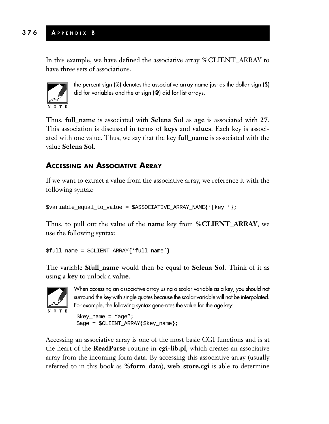In this example, we have defined the associative array %CLIENT\_ARRAY to have three sets of associations.



the percent sign (%) denotes the associative array name just as the dollar sign (\$) did for variables and the at sign (@) did for list arrays.

Thus, **full\_name** is associated with **Selena Sol** as **age** is associated with **27**. This association is discussed in terms of **keys** and **values**. Each key is associated with one value. Thus, we say that the key **full\_name** is associated with the value **Selena Sol**.

# **ACCESSING AN ASSOCIATIVE ARRAY**

If we want to extract a value from the associative array, we reference it with the following syntax:

\$variable\_equal\_to\_value = \$ASSOCIATIVE\_ARRAY\_NAME{'[key]'};

Thus, to pull out the value of the **name** key from **%CLIENT\_ARRAY**, we use the following syntax:

```
$full_name = $CLIENT_ARRAY{'full_name'}
```
The variable **\$full\_name** would then be equal to **Selena Sol**. Think of it as using a **key** to unlock a **value**.



When accessing an associative array using a scalar variable as a key, you should not surround the key with single quotes because the scalar variable will not be interpolated. For example, the following syntax generates the value for the age key:

```
$key_name = "age"$age = $CLIENT_ARRAY{$key_name};
```
Accessing an associative array is one of the most basic CGI functions and is at the heart of the **ReadParse** routine in **cgi-lib.pl**, which creates an associative array from the incoming form data. By accessing this associative array (usually referred to in this book as **%form\_data**), **web\_store.cgi** is able to determine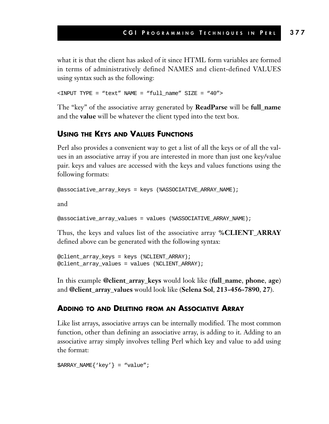what it is that the client has asked of it since HTML form variables are formed in terms of administratively defined NAMES and client-defined VALUES using syntax such as the following:

 $\times$ INPUT TYPE = "text" NAME = "full name" SIZE = "40">

The "key" of the associative array generated by **ReadParse** will be **full\_name** and the **value** will be whatever the client typed into the text box.

#### **USING THE KEYS AND VALUES FUNCTIONS**

Perl also provides a convenient way to get a list of all the keys or of all the values in an associative array if you are interested in more than just one key/value pair. keys and values are accessed with the keys and values functions using the following formats:

```
@associative_array_keys = keys (%ASSOCIATIVE_ARRAY_NAME);
```
and

@associative\_array\_values = values (%ASSOCIATIVE\_ARRAY\_NAME);

Thus, the keys and values list of the associative array **%CLIENT\_ARRAY** defined above can be generated with the following syntax:

```
@client_array_keys = keys (%CLIENT_ARRAY);
@client_array_values = values (%CLIENT_ARRAY);
```
In this example **@client\_array\_keys** would look like (**full\_name**, **phone**, **age**) and **@client\_array\_values** would look like (**Selena Sol**, **213-456-7890**, **27**).

#### **ADDING TO AND DELETING FROM AN ASSOCIATIVE ARRAY**

Like list arrays, associative arrays can be internally modified. The most common function, other than defining an associative array, is adding to it. Adding to an associative array simply involves telling Perl which key and value to add using the format:

\$ARRAY\_NAME{'key'} = "value";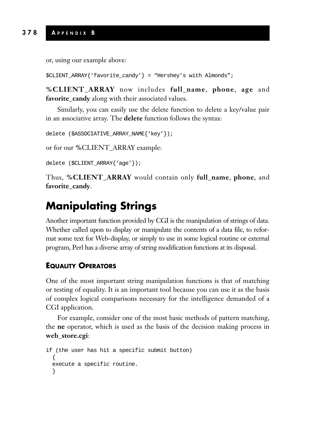or, using our example above:

```
$CLIENT_ARRAY{'favorite_candy'} = "Hershey's with Almonds";
```
**%CLIENT\_ARRAY** now includes **full\_name**, **phone**, **age** and **favorite\_candy** along with their associated values.

Similarly, you can easily use the delete function to delete a key/value pair in an associative array. The **delete** function follows the syntax:

```
delete ($ASSOCIATIVE_ARRAY_NAME{'key'});
```
or for our **%**CLIENT\_ARRAY example:

delete (\$CLIENT\_ARRAY{'age'});

Thus, **%CLIENT\_ARRAY** would contain only **full\_name**, **phone**, and **favorite\_candy**.

# **Manipulating Strings**

Another important function provided by CGI is the manipulation of strings of data. Whether called upon to display or manipulate the contents of a data file, to reformat some text for Web-display, or simply to use in some logical routine or external program, Perl has a diverse array of string modification functions at its disposal.

#### **EQUALITY OPERATORS**

One of the most important string manipulation functions is that of matching or testing of equality. It is an important tool because you can use it as the basis of complex logical comparisons necessary for the intelligence demanded of a CGI application.

For example, consider one of the most basic methods of pattern matching, the **ne** operator, which is used as the basis of the decision making process in **web\_store.cgi**:

```
if (the user has hit a specific submit button)
  {
 execute a specific routine.
  }
```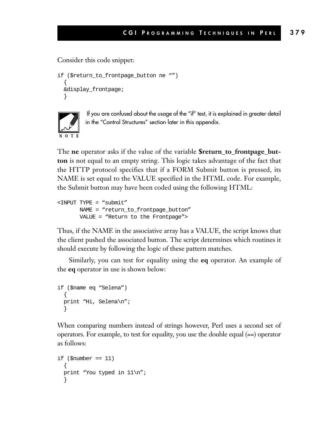#### Consider this code snippet:

```
if ($return_to_frontpage_button ne "")
  {
 &display_frontpage;
  }
```


If you are confused about the usage of the "if" test, it is explained in greater detail in the "Control Structures" section later in this appendix.

The **ne** operator asks if the value of the variable **\$return\_to\_frontpage\_button** is not equal to an empty string. This logic takes advantage of the fact that the HTTP protocol specifies that if a FORM Submit button is pressed, its NAME is set equal to the VALUE specified in the HTML code. For example, the Submit button may have been coded using the following HTML:

```
<INPUT TYPE = "submit"
      NAME = "return_to_frontpage_button"
      VALUE = "Return to the Frontpage">
```
Thus, if the NAME in the associative array has a VALUE, the script knows that the client pushed the associated button. The script determines which routines it should execute by following the logic of these pattern matches.

Similarly, you can test for equality using the **eq** operator. An example of the **eq** operator in use is shown below:

```
if ($name eq "Selena")
  {
 print "Hi, Selena\n";
  }
```
When comparing numbers instead of strings however, Perl uses a second set of operators. For example, to test for equality, you use the double equal (==) operator as follows:

```
if (\text{5} \times \text{6}) == 11)
  {
  print "You typed in 11\n";
  }
```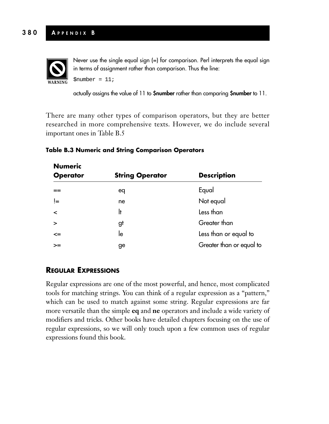

Never use the single equal sign (=) for comparison. Perl interprets the equal sign in terms of assignment rather than comparison. Thus the line:  $$number = 11;$ 

actually assigns the value of 11 to **\$number** rather than comparing **\$number** to 11.

There are many other types of comparison operators, but they are better researched in more comprehensive texts. However, we do include several important ones in Table B.5

| <b>Numeric</b><br><b>Operator</b> | <b>String Operator</b> | <b>Description</b>       |
|-----------------------------------|------------------------|--------------------------|
| $=$                               | eq                     | Equal                    |
| ļ=                                | ne                     | Not equal                |
| $\prec$                           | It                     | Less than                |
| >                                 | gt                     | Greater than             |
| $\leq$                            | le                     | Less than or equal to    |
| $>=$                              | ge                     | Greater than or equal to |

#### **Table B.3 Numeric and String Comparison Operators**

## **REGULAR EXPRESSIONS**

Regular expressions are one of the most powerful, and hence, most complicated tools for matching strings. You can think of a regular expression as a "pattern," which can be used to match against some string. Regular expressions are far more versatile than the simple **eq** and **ne** operators and include a wide variety of modifiers and tricks. Other books have detailed chapters focusing on the use of regular expressions, so we will only touch upon a few common uses of regular expressions found this book.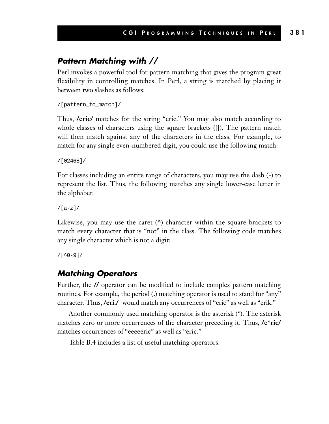# *Pattern Matching with //*

Perl invokes a powerful tool for pattern matching that gives the program great flexibility in controlling matches. In Perl, a string is matched by placing it between two slashes as follows:

```
/[pattern_to_match]/
```
Thus, **/eric/** matches for the string "eric." You may also match according to whole classes of characters using the square brackets ([]). The pattern match will then match against any of the characters in the class. For example, to match for any single even-numbered digit, you could use the following match:

```
/[02468]/
```
For classes including an entire range of characters, you may use the dash (-) to represent the list. Thus, the following matches any single lower-case letter in the alphabet:

/[a-z]/

Likewise, you may use the caret  $(^\wedge)$  character within the square brackets to match every character that is "not" in the class. The following code matches any single character which is not a digit:

 $/[^00-9]/$ 

# *Matching Operators*

Further, the **//** operator can be modified to include complex pattern matching routines. For example, the period (**.**) matching operator is used to stand for "any" character. Thus, **/eri./** would match any occurrences of "eric" as well as "erik."

Another commonly used matching operator is the asterisk (\*). The asterisk matches zero or more occurrences of the character preceding it. Thus, **/e\*ric/** matches occurrences of "eeeeeric" as well as "eric."

Table B.4 includes a list of useful matching operators.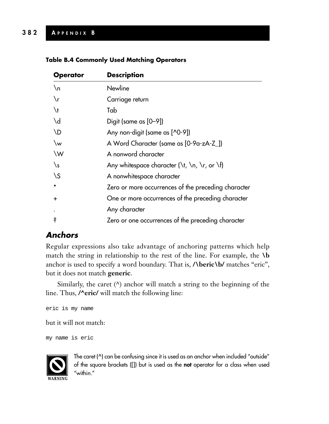#### **Table B.4 Commonly Used Matching Operators**

| <b>Operator</b>     | <b>Description</b>                                                                                  |
|---------------------|-----------------------------------------------------------------------------------------------------|
| $\n\sqrt{n}$        | <b>Newline</b>                                                                                      |
| $\chi_{\mathbf{r}}$ | Carriage return                                                                                     |
| $\lambda$           | Tab                                                                                                 |
| $\mathcal{A}$       | Digit (same as [0-9])                                                                               |
| <b>ND</b>           | Any non-digit (same as [^0-9])                                                                      |
| $\mathsf{w}$        | A Word Character (same as [0-9a-zA-Z_])                                                             |
| \W                  | A nonword character                                                                                 |
| $\sqrt{s}$          | Any whitespace character ( $\lceil \cdot \rceil$ , $\lceil \cdot \rceil$ , or $\lceil \cdot \rceil$ |
| $\setminus S$       | A nonwhitespace character                                                                           |
|                     | Zero or more occurrences of the preceding character                                                 |
| $\ddot{}$           | One or more occurrences of the preceding character                                                  |
|                     | Any character                                                                                       |
| S                   | Zero or one occurrences of the preceding character                                                  |

# *Anchors*

Regular expressions also take advantage of anchoring patterns which help match the string in relationship to the rest of the line. For example, the **\b** anchor is used to specify a word boundary. That is, **/\beric\b/** matches "eric", but it does not match **generic**.

Similarly, the caret (^) anchor will match a string to the beginning of the line. Thus, **/^eric/** will match the following line:

```
eric is my name
```
but it will not match:

```
my name is eric
```


The caret  $(^\wedge)$  can be confusing since it is used as an anchor when included "outside" of the square brackets ([]) but is used as the **not** operator for a class when used "within."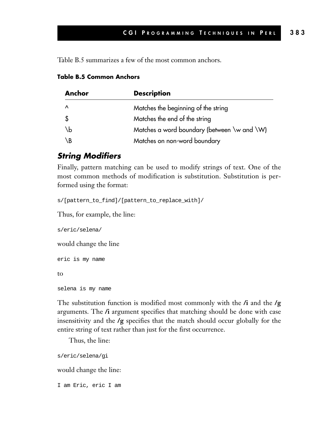Table B.5 summarizes a few of the most common anchors.

| Anchor    | <b>Description</b>                          |
|-----------|---------------------------------------------|
| $\lambda$ | Matches the beginning of the string         |
| -\$       | Matches the end of the string               |
| \b        | Matches a word boundary (between \w and \W) |
| ١B        | Matches on non-word boundary                |

#### **Table B.5 Common Anchors**

#### *String Modifiers*

Finally, pattern matching can be used to modify strings of text. One of the most common methods of modification is substitution. Substitution is performed using the format:

s/[pattern\_to\_find]/[pattern\_to\_replace\_with]/

Thus, for example, the line:

s/eric/selena/

would change the line

```
eric is my name
to
selena is my name
```
The substitution function is modified most commonly with the **/i** and the **/g** arguments. The **/i** argument specifies that matching should be done with case insensitivity and the **/g** specifies that the match should occur globally for the entire string of text rather than just for the first occurrence.

Thus, the line:

s/eric/selena/gi

would change the line:

I am Eric, eric I am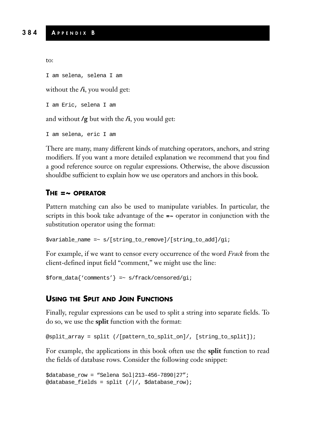to:

I am selena, selena I am

without the *l*, you would get:

I am Eric, selena I am

and without **/g** but with the **/i**, you would get:

I am selena, eric I am

There are many, many different kinds of matching operators, anchors, and string modifiers. If you want a more detailed explanation we recommend that you find a good reference source on regular expressions. Otherwise, the above discussion shouldbe sufficient to explain how we use operators and anchors in this book.

#### **THE =~ OPERATOR**

Pattern matching can also be used to manipulate variables. In particular, the scripts in this book take advantage of the **=~** operator in conjunction with the substitution operator using the format:

\$variable\_name =~ s/[string\_to\_remove]/[string\_to\_add]/gi;

For example, if we want to censor every occurrence of the word *Frack* from the client-defined input field "comment," we might use the line:

```
$form_data{'comments'} =~ s/frack/censored/gi;
```
#### **USING THE SPLIT AND JOIN FUNCTIONS**

Finally, regular expressions can be used to split a string into separate fields. To do so, we use the **split** function with the format:

```
@split_array = split (/[pattern_to_split_on]/, [string_to_split]);
```
For example, the applications in this book often use the **split** function to read the fields of database rows. Consider the following code snippet:

```
$database_row = "Selena Sol|213-456-7890|27";
@database_fields = split (/|/, $database_row);
```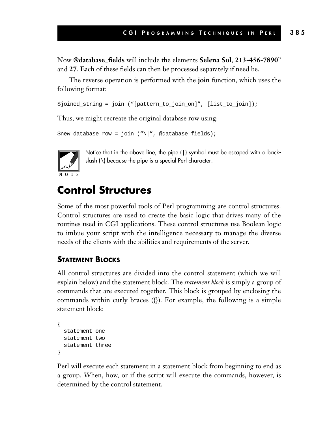Now **@database\_fields** will include the elements **Selena Sol**, **213-456-7890**" and **27**. Each of these fields can then be processed separately if need be.

The reverse operation is performed with the **join** function, which uses the following format:

```
$joined_string = join ("[pattern_to_join_on]", [list_to_join]);
```
Thus, we might recreate the original database row using:

```
$new_database-row = join ('"\|'', @database_fields);
```


Notice that in the above line, the pipe (|) symbol must be escaped with a backslash (\) because the pipe is a special Perl character.

# **Control Structures**

Some of the most powerful tools of Perl programming are control structures. Control structures are used to create the basic logic that drives many of the routines used in CGI applications. These control structures use Boolean logic to imbue your script with the intelligence necessary to manage the diverse needs of the clients with the abilities and requirements of the server.

### **STATEMENT BLOCKS**

All control structures are divided into the control statement (which we will explain below) and the statement block. The *statement block* is simply a group of commands that are executed together. This block is grouped by enclosing the commands within curly braces ({}). For example, the following is a simple statement block:

```
{
 statement one
 statement two
 statement three
}
```
Perl will execute each statement in a statement block from beginning to end as a group. When, how, or if the script will execute the commands, however, is determined by the control statement.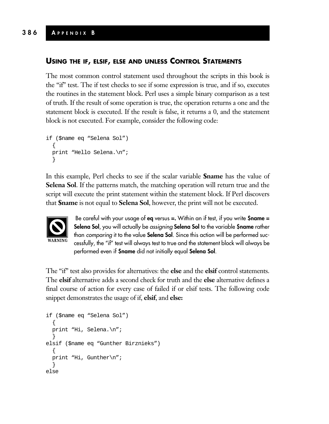#### **USING THE IF, ELSIF, ELSE AND UNLESS CONTROL STATEMENTS**

The most common control statement used throughout the scripts in this book is the "if" test. The if test checks to see if some expression is true, and if so, executes the routines in the statement block. Perl uses a simple binary comparison as a test of truth. If the result of some operation is true, the operation returns a one and the statement block is executed. If the result is false, it returns a 0, and the statement block is not executed. For example, consider the following code:

```
if ($name eq "Selena Sol")
  {
 print "Hello Selena.\n";
  }
```
In this example, Perl checks to see if the scalar variable **\$name** has the value of **Selena Sol**. If the patterns match, the matching operation will return true and the script will execute the print statement within the statement block. If Perl discovers that **\$name** is not equal to **Selena Sol**, however, the print will not be executed.



Be careful with your usage of **eq** versus **=.** Within an if test, if you write **\$name = Selena Sol**, you will actually be *assigning* **Selena Sol** to the variable **\$name** rather than *comparing* it to the value **Selena Sol**. Since this action will be performed successfully, the "if" test will always test to true and the statement block will always be performed even if **\$name** did not initially equal **Selena Sol**.

The "if" test also provides for alternatives: the **else** and the **elsif** control statements. The **elsif** alternative adds a second check for truth and the **else** alternative defines a final course of action for every case of failed if or elsif tests. The following code snippet demonstrates the usage of if, **elsif**, and **else:**

```
if ($name eq "Selena Sol")
  {
 print "Hi, Selena.\n";
  }
elsif ($name eq "Gunther Birznieks")
  {
 print "Hi, Gunther\n";
  }
else
```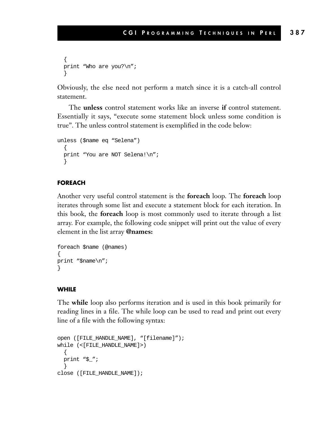```
{
print "Who are you?\n";
}
```
Obviously, the else need not perform a match since it is a catch-all control statement.

The **unless** control statement works like an inverse **if** control statement. Essentially it says, "execute some statement block unless some condition is true". The unless control statement is exemplified in the code below:

```
unless ($name eq "Selena")
  {
 print "You are NOT Selena!\n";
  }
```
#### **FOREACH**

Another very useful control statement is the **foreach** loop. The **foreach** loop iterates through some list and execute a statement block for each iteration. In this book, the **foreach** loop is most commonly used to iterate through a list array. For example, the following code snippet will print out the value of every element in the list array **@names:**

```
foreach $name (@names)
{
print "$name\n";
}
```
#### **WHILE**

The **while** loop also performs iteration and is used in this book primarily for reading lines in a file. The while loop can be used to read and print out every line of a file with the following syntax:

```
open ([FILE_HANDLE_NAME], "[filename]");
while (<[FILE_HANDLE_NAME]>)
  {
 print "$_";
  }
close ([FILE_HANDLE_NAME]);
```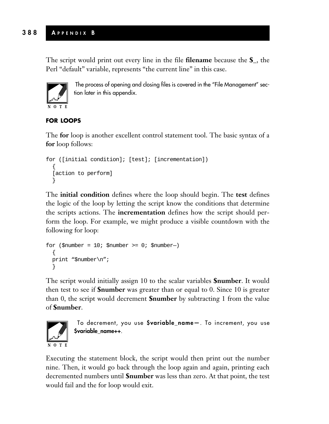The script would print out every line in the file **filename** because the **\$\_**, the Perl "default" variable, represents "the current line" in this case.



The process of opening and closing files is covered in the "File Management" section later in this appendix.

## **FOR LOOPS**

The **for** loop is another excellent control statement tool. The basic syntax of a **for** loop follows:

```
for ([initial condition]; [test]; [incrementation])
  {
  [action to perform]
  }
```
The **initial condition** defines where the loop should begin. The **test** defines the logic of the loop by letting the script know the conditions that determine the scripts actions. The **incrementation** defines how the script should perform the loop. For example, we might produce a visible countdown with the following for loop:

```
for (\text{$number = 10: $number >= 0; $number}){
  print "$number\n";
  }
```
The script would initially assign 10 to the scalar variables **\$number**. It would then test to see if **\$number** was greater than or equal to 0. Since 10 is greater than 0, the script would decrement **\$number** by subtracting 1 from the value of **\$number**.



To decrement, you use **\$variable\_name—**. To increment, you use **\$variable\_name++**.

Executing the statement block, the script would then print out the number nine. Then, it would go back through the loop again and again, printing each decremented numbers until **\$number** was less than zero. At that point, the test would fail and the for loop would exit.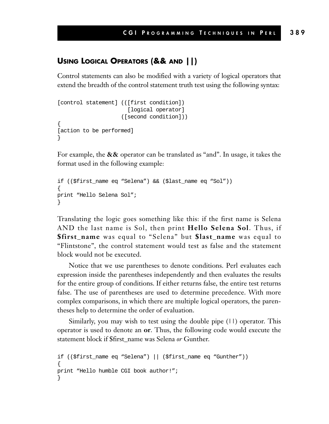# **USING LOGICAL OPERATORS (&& AND ||)**

Control statements can also be modified with a variety of logical operators that extend the breadth of the control statement truth test using the following syntax:

```
[control statement] (([first condition])
                       [logical operator]
                     ([second condition]))
{
[action to be performed]
}
```
For example, the **&&** operator can be translated as "and". In usage, it takes the format used in the following example:

```
if (($first_name eq "Selena") && ($last_name eq "Sol"))
{
print "Hello Selena Sol";
}
```
Translating the logic goes something like this: if the first name is Selena AND the last name is Sol, then print **Hello Selena Sol**. Thus, if **\$first\_name** was equal to "Selena" but **\$last\_name** was equal to "Flintstone", the control statement would test as false and the statement block would not be executed.

Notice that we use parentheses to denote conditions. Perl evaluates each expression inside the parentheses independently and then evaluates the results for the entire group of conditions. If either returns false, the entire test returns false. The use of parentheses are used to determine precedence. With more complex comparisons, in which there are multiple logical operators, the parentheses help to determine the order of evaluation.

Similarly, you may wish to test using the double pipe (11) operator. This operator is used to denote an **or**. Thus, the following code would execute the statement block if \$first\_name was Selena *or* Gunther.

```
if (($first_name eq "Selena") || ($first_name eq "Gunther"))
{
print "Hello humble CGI book author!";
}
```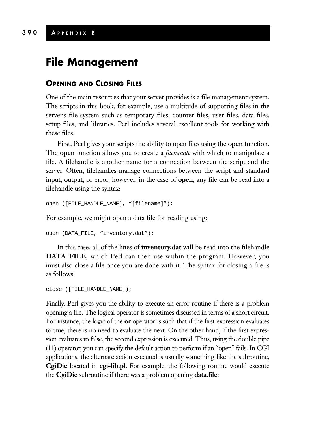# **390 A PPENDIX B**

# **File Management**

## **OPENING AND CLOSING FILES**

One of the main resources that your server provides is a file management system. The scripts in this book, for example, use a multitude of supporting files in the server's file system such as temporary files, counter files, user files, data files, setup files, and libraries. Perl includes several excellent tools for working with these files.

First, Perl gives your scripts the ability to open files using the **open** function. The **open** function allows you to create a *filehandle* with which to manipulate a file. A filehandle is another name for a connection between the script and the server. Often, filehandles manage connections between the script and standard input, output, or error, however, in the case of **open**, any file can be read into a filehandle using the syntax:

```
open ([FILE_HANDLE_NAME], "[filename]");
```
For example, we might open a data file for reading using:

```
open (DATA_FILE, "inventory.dat");
```
In this case, all of the lines of **inventory.dat** will be read into the filehandle **DATA\_FILE,** which Perl can then use within the program. However, you must also close a file once you are done with it. The syntax for closing a file is as follows:

```
close ([FILE_HANDLE_NAME]);
```
Finally, Perl gives you the ability to execute an error routine if there is a problem opening a file. The logical operator is sometimes discussed in terms of a short circuit. For instance, the logic of the **or** operator is such that if the first expression evaluates to true, there is no need to evaluate the next. On the other hand, if the first expression evaluates to false, the second expression is executed. Thus, using the double pipe (||) operator, you can specify the default action to perform if an "open" fails. In CGI applications, the alternate action executed is usually something like the subroutine, **CgiDie** located in **cgi-lib.pl**. For example, the following routine would execute the **CgiDie** subroutine if there was a problem opening **data.file**: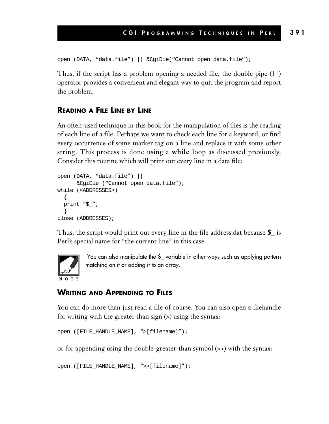```
open (DATA, "data.file") || &CgiDie("Cannot open data.file");
```
Thus, if the script has a problem opening a needed file, the double pipe (||) operator provides a convenient and elegant way to quit the program and report the problem.

#### **READING A FILE LINE BY LINE**

An often-used technique in this book for the manipulation of files is the reading of each line of a file. Perhaps we want to check each line for a keyword, or find every occurrence of some marker tag on a line and replace it with some other string. This process is done using a **while** loop as discussed previously. Consider this routine which will print out every line in a data file:

```
open (DATA, "data.file") ||
      &CgiDie ("Cannot open data.file");
while (<ADDRESSES>)
  {
 print "$_";
  }
close (ADDRESSES);
```
Thus, the script would print out every line in the file address.dat because **\$\_** is Perl's special name for "the current line" in this case:



You can also manipulate the **\$\_** variable in other ways such as applying pattern matching on it or adding it to an array.

#### **WRITING AND APPENDING TO FILES**

You can do more than just read a file of course. You can also open a filehandle for writing with the greater than sign (>) using the syntax:

```
open ([FILE_HANDLE_NAME], ">[filename]");
```
or for appending using the double-greater-than symbol (>>) with the syntax:

```
open ([FILE_HANDLE_NAME], ">>[filename]");
```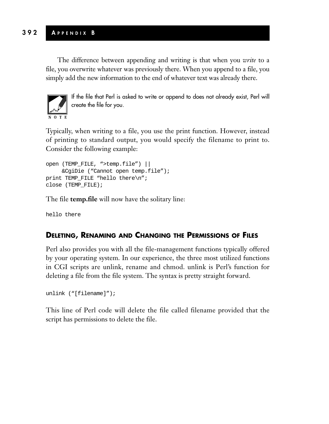The difference between appending and writing is that when you *write* to a file, you overwrite whatever was previously there. When you append to a file, you simply add the new information to the end of whatever text was already there.



If the file that Perl is asked to write or append to does not already exist, Perl will create the file for you.

Typically, when writing to a file, you use the print function. However, instead of printing to standard output, you would specify the filename to print to. Consider the following example:

```
open (TEMP_FILE, ">temp.file") ||
    &CgiDie ("Cannot open temp.file");
print TEMP_FILE "hello there\n";
close (TEMP_FILE);
```
The file **temp.file** will now have the solitary line:

hello there

# **DELETING, RENAMING AND CHANGING THE PERMISSIONS OF FILES**

Perl also provides you with all the file-management functions typically offered by your operating system. In our experience, the three most utilized functions in CGI scripts are unlink, rename and chmod. unlink is Perl's function for deleting a file from the file system. The syntax is pretty straight forward.

```
unlink ("[filename]");
```
This line of Perl code will delete the file called filename provided that the script has permissions to delete the file.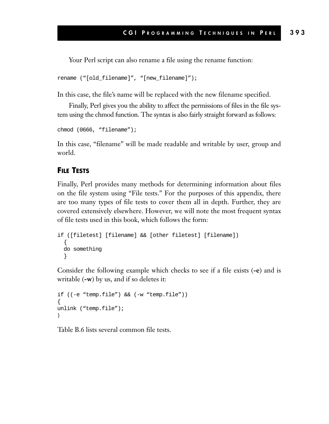Your Perl script can also rename a file using the rename function:

```
rename ("[old_filename]", "[new_filename]");
```
In this case, the file's name will be replaced with the new filename specified.

Finally, Perl gives you the ability to affect the permissions of files in the file system using the chmod function. The syntax is also fairly straight forward as follows:

chmod (0666, "filename");

In this case, "filename" will be made readable and writable by user, group and world.

#### **FILE TESTS**

Finally, Perl provides many methods for determining information about files on the file system using "File tests." For the purposes of this appendix, there are too many types of file tests to cover them all in depth. Further, they are covered extensively elsewhere. However, we will note the most frequent syntax of file tests used in this book, which follows the form:

```
if ([filetest] [filename] && [other filetest] [filename])
  {
 do something
  }
```
Consider the following example which checks to see if a file exists (**-e**) and is writable (**-w**) by us, and if so deletes it:

```
if ((-e "temp.file") && (-w "temp.file"))
{
unlink ("temp.file");
}
```
Table B.6 lists several common file tests.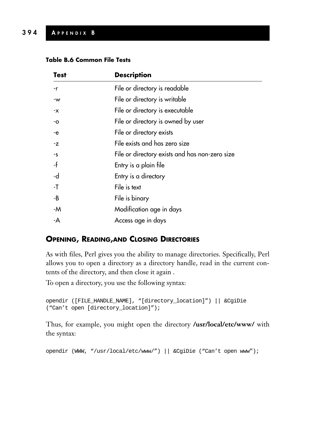#### **Table B.6 Common File Tests**

| <b>Test</b> | <b>Description</b>                             |
|-------------|------------------------------------------------|
| -r          | File or directory is readable                  |
| -w          | File or directory is writable                  |
| -x          | File or directory is executable                |
| -0          | File or directory is owned by user             |
| -e          | File or directory exists                       |
| -z          | File exists and has zero size                  |
| $-5$        | File or directory exists and has non-zero size |
| -f          | Entry is a plain file                          |
| -d          | Entry is a directory                           |
| -T          | File is text                                   |
| -B          | File is binary                                 |
| -M          | Modification age in days                       |
| -A          | Access age in days                             |

## **OPENING, READING,AND CLOSING DIRECTORIES**

As with files, Perl gives you the ability to manage directories. Specifically, Perl allows you to open a directory as a directory handle, read in the current contents of the directory, and then close it again .

To open a directory, you use the following syntax:

```
opendir ([FILE_HANDLE_NAME], "[directory_location]") || &CgiDie
("Can't open [directory_location]");
```
Thus, for example, you might open the directory **/usr/local/etc/www/** with the syntax:

opendir (WWW, "/usr/local/etc/www/") || &CgiDie ("Can't open www");